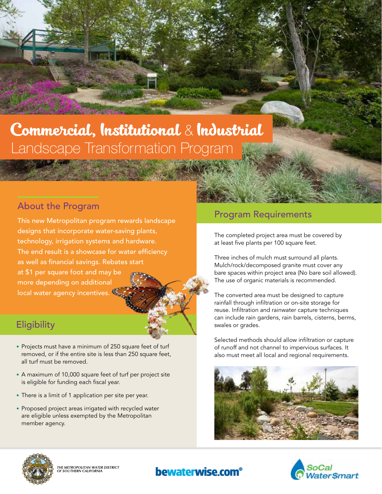## Commercial, Institutional & Industrial Landscape Transformation Program

This new Metropolitan program rewards landscape designs that incorporate water-saving plants, technology, irrigation systems and hardware. The end result is a showcase for water efficiency as well as financial savings. Rebates start at \$1 per square foot and may be more depending on additional local water agency incentives.

### **Eligibility**

- Projects must have a minimum of 250 square feet of turf removed, or if the entire site is less than 250 square feet, all turf must be removed.
- A maximum of 10,000 square feet of turf per project site is eligible for funding each fiscal year.
- There is a limit of 1 application per site per year.
- Proposed project areas irrigated with recycled water are eligible unless exempted by the Metropolitan member agency.

# About the Program and Contract of the Program Requirements

The completed project area must be covered by at least five plants per 100 square feet.

Three inches of mulch must surround all plants. Mulch/rock/decomposed granite must cover any bare spaces within project area (No bare soil allowed). The use of organic materials is recommended.

The converted area must be designed to capture rainfall through infiltration or on-site storage for reuse. Infiltration and rainwater capture techniques can include rain gardens, rain barrels, cisterns, berms, swales or grades.

Selected methods should allow infiltration or capture of runoff and not channel to impervious surfaces. It also must meet all local and regional requirements.







THE METROPOLITAN WATER DISTRICT<br>DF SOUTHERN CALIFORNIA

### **bewaterwise.com**<sup>®</sup>